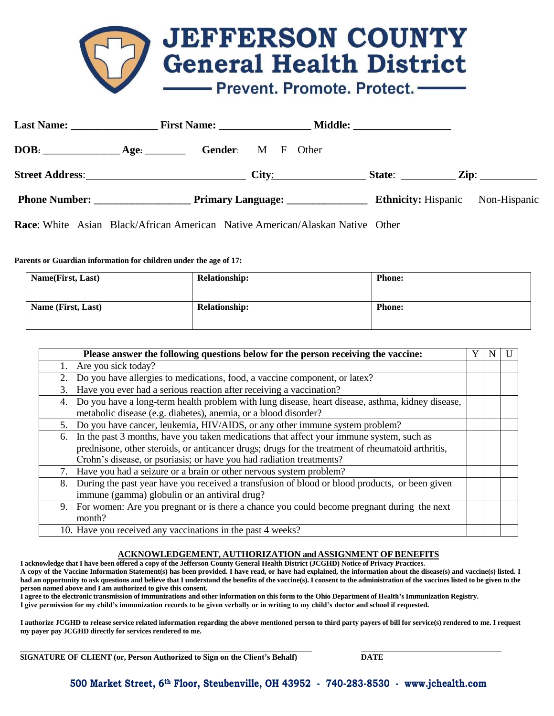## **JEFFERSON COUNTY**<br>General Health District - Prevent. Promote. Protect. -

|                       |  | <b>Gender:</b> M F Other |  |  |  |                                    |
|-----------------------|--|--------------------------|--|--|--|------------------------------------|
| Street Address: City: |  |                          |  |  |  | State: $\angle Zip:$ $\angle Zip:$ |
|                       |  |                          |  |  |  |                                    |
|                       |  |                          |  |  |  |                                    |

**Race**: White Asian Black/African American Native American/Alaskan Native Other

## **Parents or Guardian information for children under the age of 17:**

| <b>Name(First, Last)</b> | <b>Relationship:</b> | <b>Phone:</b> |
|--------------------------|----------------------|---------------|
| Name (First, Last)       | <b>Relationship:</b> | <b>Phone:</b> |

| Please answer the following questions below for the person receiving the vaccine:                      |  |  |  |  |
|--------------------------------------------------------------------------------------------------------|--|--|--|--|
| 1. Are you sick today?                                                                                 |  |  |  |  |
| 2. Do you have allergies to medications, food, a vaccine component, or latex?                          |  |  |  |  |
| Have you ever had a serious reaction after receiving a vaccination?<br>3.                              |  |  |  |  |
| Do you have a long-term health problem with lung disease, heart disease, asthma, kidney disease,<br>4. |  |  |  |  |
| metabolic disease (e.g. diabetes), anemia, or a blood disorder?                                        |  |  |  |  |
| 5. Do you have cancer, leukemia, HIV/AIDS, or any other immune system problem?                         |  |  |  |  |
| In the past 3 months, have you taken medications that affect your immune system, such as<br>6.         |  |  |  |  |
| prednisone, other steroids, or anticancer drugs; drugs for the treatment of rheumatoid arthritis,      |  |  |  |  |
| Crohn's disease, or psoriasis; or have you had radiation treatments?                                   |  |  |  |  |
| Have you had a seizure or a brain or other nervous system problem?                                     |  |  |  |  |
| During the past year have you received a transfusion of blood or blood products, or been given<br>8.   |  |  |  |  |
| immune (gamma) globulin or an antiviral drug?                                                          |  |  |  |  |
| 9. For women: Are you pregnant or is there a chance you could become pregnant during the next          |  |  |  |  |
| month?                                                                                                 |  |  |  |  |
| 10. Have you received any vaccinations in the past 4 weeks?                                            |  |  |  |  |

## **ACKNOWLEDGEMENT, AUTHORIZATION and ASSIGNMENT OF BENEFITS**

I acknowledge that I have been offered a copy of the Jefferson County General Health District (JCGHD) Notice of Privacy Practices. A copy of the Vaccine Information Statement(s) has been provided. I have read, or have had explained, the information about the disease(s) and vaccine(s) listed. I had an opportunity to ask questions and believe that I understand the benefits of the vaccine(s). I consent to the administration of the vaccines listed to be given to the **person named above and I am authorized to give this consent.**

I agree to the electronic transmission of immunizations and other information on this form to the Ohio Department of Health's Immunization Registry. **I give permission for my child's immunization records to be given verbally or in writing to my child's doctor and school if requested.** 

I authorize JCGHD to release service related information regarding the above mentioned person to third party payers of bill for service(s) rendered to me. I request **my payer pay JCGHD directly for services rendered to me.**

**SIGNATURE OF CLIENT (or, Person Authorized to Sign on the Client's Behalf) DATE**

**500 Market Street, 6th Floor, Steubenville, OH 43952 - 740-283-8530 - [www.jchealth.com](http://www.jchealth.com/)**